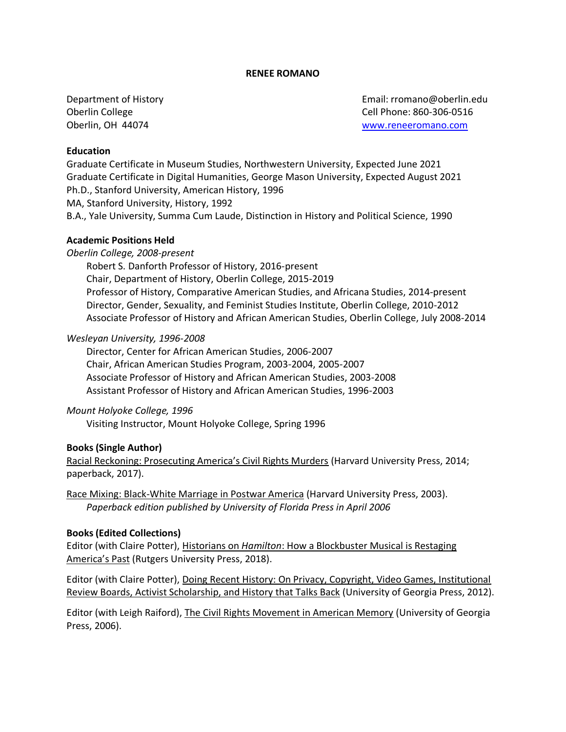# **RENEE ROMANO**

Department of History Oberlin College Oberlin, OH 44074

Email: rromano@oberlin.edu Cell Phone: 860-306-0516 [www.reneeromano.com](http://www.reneeromano.com/)

# **Education**

Graduate Certificate in Museum Studies, Northwestern University, Expected June 2021 Graduate Certificate in Digital Humanities, George Mason University, Expected August 2021 Ph.D., Stanford University, American History, 1996 MA, Stanford University, History, 1992 B.A., Yale University, Summa Cum Laude, Distinction in History and Political Science, 1990

# **Academic Positions Held**

## *Oberlin College, 2008-present*

Robert S. Danforth Professor of History, 2016-present Chair, Department of History, Oberlin College, 2015-2019 Professor of History, Comparative American Studies, and Africana Studies, 2014-present Director, Gender, Sexuality, and Feminist Studies Institute, Oberlin College, 2010-2012 Associate Professor of History and African American Studies, Oberlin College, July 2008-2014

## *Wesleyan University, 1996-2008*

Director, Center for African American Studies, 2006-2007 Chair, African American Studies Program, 2003-2004, 2005-2007 Associate Professor of History and African American Studies, 2003-2008 Assistant Professor of History and African American Studies, 1996-2003

## *Mount Holyoke College, 1996*

Visiting Instructor, Mount Holyoke College, Spring 1996

## **Books (Single Author)**

Racial Reckoning: Prosecuting America's Civil Rights Murders (Harvard University Press, 2014; paperback, 2017).

Race Mixing: Black-White Marriage in Postwar America (Harvard University Press, 2003). *Paperback edition published by University of Florida Press in April 2006*

## **Books (Edited Collections)**

Editor (with Claire Potter), Historians on *Hamilton*: How a Blockbuster Musical is Restaging America's Past (Rutgers University Press, 2018).

Editor (with Claire Potter), Doing Recent History: On Privacy, Copyright, Video Games, Institutional Review Boards, Activist Scholarship, and History that Talks Back (University of Georgia Press, 2012).

Editor (with Leigh Raiford), The Civil Rights Movement in American Memory (University of Georgia Press, 2006).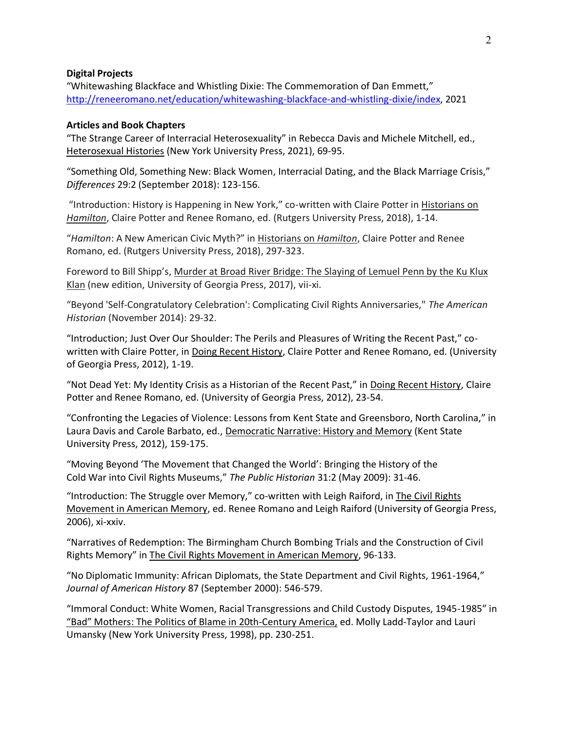## **Digital Projects**

"Whitewashing Blackface and Whistling Dixie: The Commemoration of Dan Emmett," [http://reneeromano.net/education/whitewashing-blackface-and-whistling-dixie/index,](http://reneeromano.net/education/whitewashing-blackface-and-whistling-dixie/index) 2021

#### **Articles and Book Chapters**

"The Strange Career of Interracial Heterosexuality" in Rebecca Davis and Michele Mitchell, ed., Heterosexual Histories (New York University Press, 2021), 69-95.

"Something Old, Something New: Black Women, Interracial Dating, and the Black Marriage Crisis," *Differences* 29:2 (September 2018): 123-156.

"Introduction: History is Happening in New York," co-written with Claire Potter in Historians on *Hamilton*, Claire Potter and Renee Romano, ed. (Rutgers University Press, 2018), 1-14.

"*Hamilton*: A New American Civic Myth?" in Historians on *Hamilton*, Claire Potter and Renee Romano, ed. (Rutgers University Press, 2018), 297-323.

Foreword to Bill Shipp's, Murder at Broad River Bridge: The Slaying of Lemuel Penn by the Ku Klux Klan (new edition, University of Georgia Press, 2017), vii-xi.

"Beyond 'Self-Congratulatory Celebration': Complicating Civil Rights Anniversaries," *The American Historian* (November 2014): 29-32.

"Introduction; Just Over Our Shoulder: The Perils and Pleasures of Writing the Recent Past," cowritten with Claire Potter, in Doing Recent History, Claire Potter and Renee Romano, ed. (University of Georgia Press, 2012), 1-19.

"Not Dead Yet: My Identity Crisis as a Historian of the Recent Past," in Doing Recent History, Claire Potter and Renee Romano, ed. (University of Georgia Press, 2012), 23-54.

"Confronting the Legacies of Violence: Lessons from Kent State and Greensboro, North Carolina," in Laura Davis and Carole Barbato, ed., Democratic Narrative: History and Memory (Kent State University Press, 2012), 159-175.

"Moving Beyond 'The Movement that Changed the World': Bringing the History of the Cold War into Civil Rights Museums," *The Public Historian* 31:2 (May 2009): 31-46.

"Introduction: The Struggle over Memory," co-written with Leigh Raiford, in The Civil Rights Movement in American Memory, ed. Renee Romano and Leigh Raiford (University of Georgia Press, 2006), xi-xxiv.

"Narratives of Redemption: The Birmingham Church Bombing Trials and the Construction of Civil Rights Memory" in The Civil Rights Movement in American Memory, 96-133.

"No Diplomatic Immunity: African Diplomats, the State Department and Civil Rights, 1961-1964," *Journal of American History* 87 (September 2000): 546-579.

"Immoral Conduct: White Women, Racial Transgressions and Child Custody Disputes, 1945-1985" in "Bad" Mothers: The Politics of Blame in 20th-Century America, ed. Molly Ladd-Taylor and Lauri Umansky (New York University Press, 1998), pp. 230-251.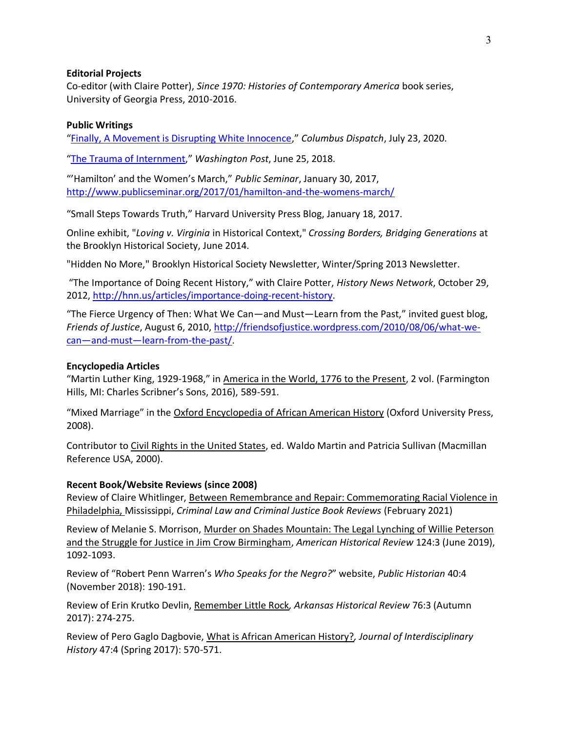## **Editorial Projects**

Co-editor (with Claire Potter), *Since 1970: Histories of Contemporary America* book series, University of Georgia Press, 2010-2016.

# **Public Writings**

"[Finally, A Movement is Disrupting White Innocence](https://www.dispatch.com/opinion/20200723/column-finally-movement-is-disrupting-white-innocence)," *Columbus Dispatch*, July 23, 2020.

"[The Trauma of Internment](https://www.washingtonpost.com/news/made-by-history/wp/2018/06/25/the-trauma-of-internment/)," *Washington Post*, June 25, 2018.

"'Hamilton' and the Women's March," *Public Seminar*, January 30, 2017, <http://www.publicseminar.org/2017/01/hamilton-and-the-womens-march/>

"Small Steps Towards Truth," Harvard University Press Blog, January 18, 2017.

Online exhibit, "*Loving v. Virginia* [in Historical Context,](http://cbbg.brooklynhistory.org/learn/loving-v-virginia-historical-context)" *Crossing Borders, Bridging Generations* at the Brooklyn Historical Society, June 2014.

["Hidden No More,"](http://cbbg.brooklynhistory.org/blog/hidden-no-more) Brooklyn Historical Society Newsletter, Winter/Spring 2013 Newsletter.

"The Importance of Doing Recent History," with Claire Potter, *History News Network*, October 29, 2012, [http://hnn.us/articles/importance-doing-recent-history.](http://hnn.us/articles/importance-doing-recent-history)

"The Fierce Urgency of Then: What We Can—and Must—Learn from the Past," invited guest blog, *Friends of Justice*, August 6, 2010, [http://friendsofjustice.wordpress.com/2010/08/06/what-we](http://friendsofjustice.wordpress.com/2010/08/06/what-we-can—and-must—learn-from-the-past/)can—and-must—[learn-from-the-past/.](http://friendsofjustice.wordpress.com/2010/08/06/what-we-can—and-must—learn-from-the-past/)

## **Encyclopedia Articles**

"Martin Luther King, 1929-1968," in America in the World, 1776 to the Present, 2 vol. (Farmington Hills, MI: Charles Scribner's Sons, 2016), 589-591.

"Mixed Marriage" in the Oxford Encyclopedia of African American History (Oxford University Press, 2008).

Contributor to Civil Rights in the United States, ed. Waldo Martin and Patricia Sullivan (Macmillan Reference USA, 2000).

## **Recent Book/Website Reviews (since 2008)**

Review of Claire Whitlinger, Between Remembrance and Repair: Commemorating Racial Violence in Philadelphia, Mississippi, *Criminal Law and Criminal Justice Book Reviews* (February 2021)

Review of Melanie S. Morrison, Murder on Shades Mountain: The Legal Lynching of Willie Peterson and the Struggle for Justice in Jim Crow Birmingham, *American Historical Review* 124:3 (June 2019), 1092-1093.

Review of "Robert Penn Warren's *Who Speaks for the Negro?*" website, *Public Historian* 40:4 (November 2018): 190-191.

Review of Erin Krutko Devlin, Remember Little Rock*, Arkansas Historical Review* 76:3 (Autumn 2017): 274-275.

Review of Pero Gaglo Dagbovie, What is African American History?*, Journal of Interdisciplinary History* 47:4 (Spring 2017): 570-571.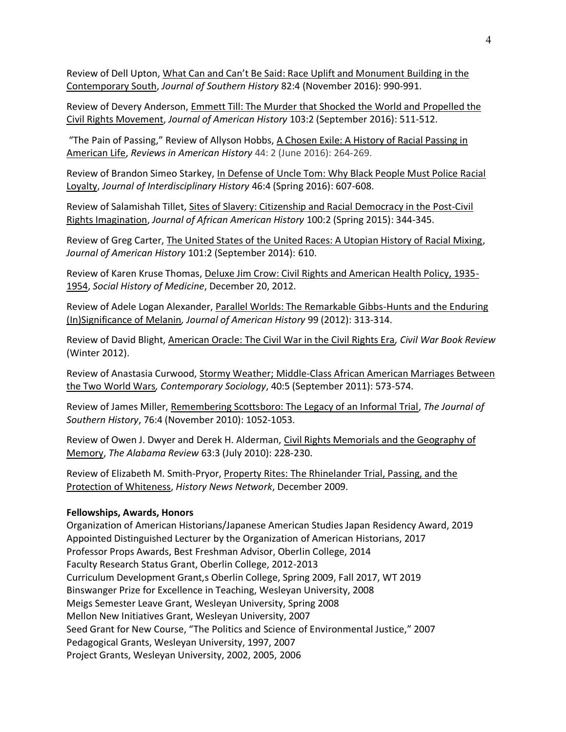Review of Dell Upton, What Can and Can't Be Said: Race Uplift and Monument Building in the Contemporary South, *Journal of Southern History* 82:4 (November 2016): 990-991.

Review of Devery Anderson, Emmett Till: The Murder that Shocked the World and Propelled the Civil Rights Movement, *Journal of American History* 103:2 (September 2016): 511-512.

"The Pain of Passing," Review of Allyson Hobbs, A Chosen Exile: A History of Racial Passing in American Life, *Reviews in American History* 44: 2 (June 2016): 264-269.

Review of Brandon Simeo Starkey, In Defense of Uncle Tom: Why Black People Must Police Racial Loyalty, *Journal of Interdisciplinary History* 46:4 (Spring 2016): 607-608.

Review of Salamishah Tillet, Sites of Slavery: Citizenship and Racial Democracy in the Post-Civil Rights Imagination, *Journal of African American History* 100:2 (Spring 2015): 344-345.

Review of Greg Carter, The United States of the United Races: A Utopian History of Racial Mixing, *Journal of American History* 101:2 (September 2014): 610.

Review of Karen Kruse Thomas, Deluxe Jim Crow: Civil Rights and American Health Policy, 1935- 1954, *Social History of Medicine*, December 20, 2012.

Review of Adele Logan Alexander, Parallel Worlds: The Remarkable Gibbs-Hunts and the Enduring (In)Significance of Melanin*, Journal of American History* 99 (2012): 313-314.

Review of David Blight, American Oracle: The Civil War in the Civil Rights Era*, Civil War Book Review* (Winter 2012).

Review of Anastasia Curwood, Stormy Weather; Middle-Class African American Marriages Between the Two World Wars*, Contemporary Sociology*, 40:5 (September 2011): 573-574.

Review of James Miller, Remembering Scottsboro: The Legacy of an Informal Trial, *The Journal of Southern History*, 76:4 (November 2010): 1052-1053.

Review of Owen J. Dwyer and Derek H. Alderman, Civil Rights Memorials and the Geography of Memory, *The Alabama Review* 63:3 (July 2010): 228-230.

Review of Elizabeth M. Smith-Pryor, Property Rites: The Rhinelander Trial, Passing, and the Protection of Whiteness, *History News Network*, December 2009.

## **Fellowships, Awards, Honors**

Organization of American Historians/Japanese American Studies Japan Residency Award, 2019 Appointed Distinguished Lecturer by the Organization of American Historians, 2017 Professor Props Awards, Best Freshman Advisor, Oberlin College, 2014 Faculty Research Status Grant, Oberlin College, 2012-2013 Curriculum Development Grant,s Oberlin College, Spring 2009, Fall 2017, WT 2019 Binswanger Prize for Excellence in Teaching, Wesleyan University, 2008 Meigs Semester Leave Grant, Wesleyan University, Spring 2008 Mellon New Initiatives Grant, Wesleyan University, 2007 Seed Grant for New Course, "The Politics and Science of Environmental Justice," 2007 Pedagogical Grants, Wesleyan University, 1997, 2007 Project Grants, Wesleyan University, 2002, 2005, 2006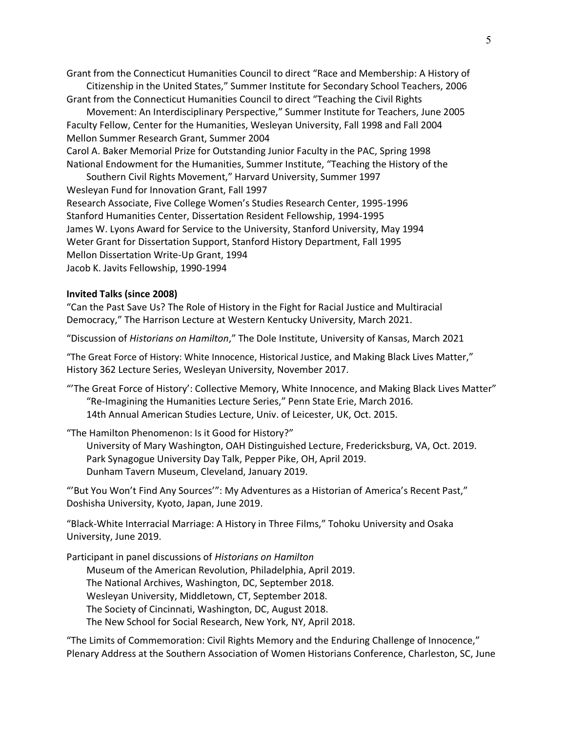Grant from the Connecticut Humanities Council to direct "Race and Membership: A History of Citizenship in the United States," Summer Institute for Secondary School Teachers, 2006

Grant from the Connecticut Humanities Council to direct "Teaching the Civil Rights

Movement: An Interdisciplinary Perspective," Summer Institute for Teachers, June 2005 Faculty Fellow, Center for the Humanities, Wesleyan University, Fall 1998 and Fall 2004 Mellon Summer Research Grant, Summer 2004

Carol A. Baker Memorial Prize for Outstanding Junior Faculty in the PAC, Spring 1998 National Endowment for the Humanities, Summer Institute, "Teaching the History of the Southern Civil Rights Movement," Harvard University, Summer 1997

Wesleyan Fund for Innovation Grant, Fall 1997 Research Associate, Five College Women's Studies Research Center, 1995-1996 Stanford Humanities Center, Dissertation Resident Fellowship, 1994-1995 James W. Lyons Award for Service to the University, Stanford University, May 1994 Weter Grant for Dissertation Support, Stanford History Department, Fall 1995 Mellon Dissertation Write-Up Grant, 1994 Jacob K. Javits Fellowship, 1990-1994

# **Invited Talks (since 2008)**

"Can the Past Save Us? The Role of History in the Fight for Racial Justice and Multiracial Democracy," The Harrison Lecture at Western Kentucky University, March 2021.

"Discussion of *Historians on Hamilton*," The Dole Institute, University of Kansas, March 2021

"The Great Force of History: White Innocence, Historical Justice, and Making Black Lives Matter," History 362 Lecture Series, Wesleyan University, November 2017.

"'The Great Force of History': Collective Memory, White Innocence, and Making Black Lives Matter" "Re-Imagining the Humanities Lecture Series," Penn State Erie, March 2016. 14th Annual American Studies Lecture, Univ. of Leicester, UK, Oct. 2015.

"The Hamilton Phenomenon: Is it Good for History?"

University of Mary Washington, OAH Distinguished Lecture, Fredericksburg, VA, Oct. 2019. Park Synagogue University Day Talk, Pepper Pike, OH, April 2019. Dunham Tavern Museum, Cleveland, January 2019.

"'But You Won't Find Any Sources'": My Adventures as a Historian of America's Recent Past," Doshisha University, Kyoto, Japan, June 2019.

"Black-White Interracial Marriage: A History in Three Films," Tohoku University and Osaka University, June 2019.

Participant in panel discussions of *Historians on Hamilton* Museum of the American Revolution, Philadelphia, April 2019. The National Archives, Washington, DC, September 2018. Wesleyan University, Middletown, CT, September 2018. The Society of Cincinnati, Washington, DC, August 2018. The New School for Social Research, New York, NY, April 2018.

"The Limits of Commemoration: Civil Rights Memory and the Enduring Challenge of Innocence," Plenary Address at the Southern Association of Women Historians Conference, Charleston, SC, June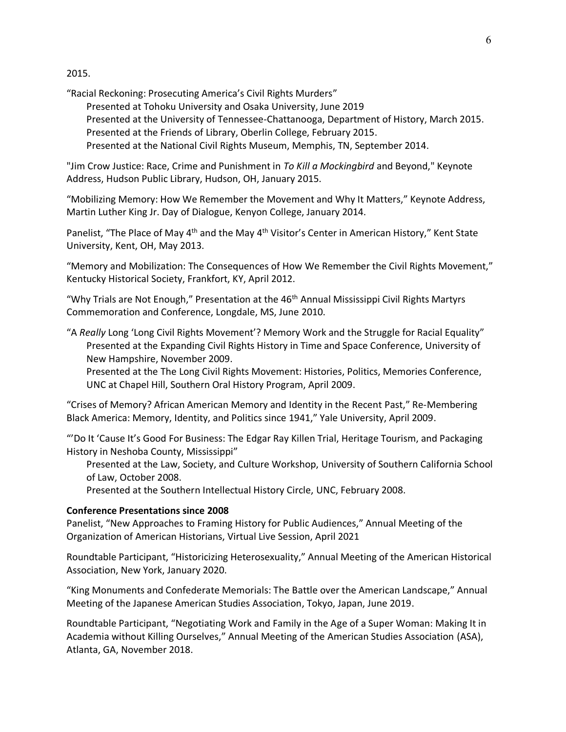2015.

"Racial Reckoning: Prosecuting America's Civil Rights Murders"

Presented at Tohoku University and Osaka University, June 2019 Presented at the University of Tennessee-Chattanooga, Department of History, March 2015. Presented at the Friends of Library, Oberlin College, February 2015. Presented at the National Civil Rights Museum, Memphis, TN, September 2014.

"Jim Crow Justice: Race, Crime and Punishment in *To Kill a Mockingbird* and Beyond," Keynote Address, Hudson Public Library, Hudson, OH, January 2015.

"Mobilizing Memory: How We Remember the Movement and Why It Matters," Keynote Address, Martin Luther King Jr. Day of Dialogue, Kenyon College, January 2014.

Panelist, "The Place of May 4<sup>th</sup> and the May 4<sup>th</sup> Visitor's Center in American History," Kent State University, Kent, OH, May 2013.

"Memory and Mobilization: The Consequences of How We Remember the Civil Rights Movement," Kentucky Historical Society, Frankfort, KY, April 2012.

"Why Trials are Not Enough," Presentation at the  $46<sup>th</sup>$  Annual Mississippi Civil Rights Martyrs Commemoration and Conference, Longdale, MS, June 2010.

"A *Really* Long 'Long Civil Rights Movement'? Memory Work and the Struggle for Racial Equality" Presented at the Expanding Civil Rights History in Time and Space Conference, University of New Hampshire, November 2009.

Presented at the The Long Civil Rights Movement: Histories, Politics, Memories Conference, UNC at Chapel Hill, Southern Oral History Program, April 2009.

"Crises of Memory? African American Memory and Identity in the Recent Past," Re-Membering Black America: Memory, Identity, and Politics since 1941," Yale University, April 2009.

"'Do It 'Cause It's Good For Business: The Edgar Ray Killen Trial, Heritage Tourism, and Packaging History in Neshoba County, Mississippi"

Presented at the Law, Society, and Culture Workshop, University of Southern California School of Law, October 2008.

Presented at the Southern Intellectual History Circle, UNC, February 2008.

## **Conference Presentations since 2008**

Panelist, "New Approaches to Framing History for Public Audiences," Annual Meeting of the Organization of American Historians, Virtual Live Session, April 2021

Roundtable Participant, "Historicizing Heterosexuality," Annual Meeting of the American Historical Association, New York, January 2020.

"King Monuments and Confederate Memorials: The Battle over the American Landscape," Annual Meeting of the Japanese American Studies Association, Tokyo, Japan, June 2019.

Roundtable Participant, "Negotiating Work and Family in the Age of a Super Woman: Making It in Academia without Killing Ourselves," Annual Meeting of the American Studies Association (ASA), Atlanta, GA, November 2018.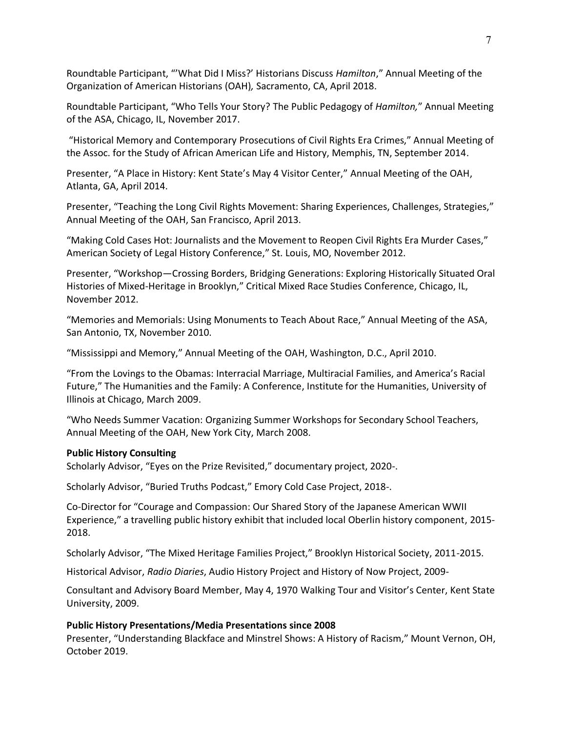Roundtable Participant, "'What Did I Miss?' Historians Discuss *Hamilton*," Annual Meeting of the Organization of American Historians (OAH)*,* Sacramento, CA, April 2018.

Roundtable Participant, "Who Tells Your Story? The Public Pedagogy of *Hamilton,*" Annual Meeting of the ASA, Chicago, IL, November 2017.

"Historical Memory and Contemporary Prosecutions of Civil Rights Era Crimes," Annual Meeting of the Assoc. for the Study of African American Life and History, Memphis, TN, September 2014.

Presenter, "A Place in History: Kent State's May 4 Visitor Center," Annual Meeting of the OAH, Atlanta, GA, April 2014.

Presenter, "Teaching the Long Civil Rights Movement: Sharing Experiences, Challenges, Strategies," Annual Meeting of the OAH, San Francisco, April 2013.

"Making Cold Cases Hot: Journalists and the Movement to Reopen Civil Rights Era Murder Cases," American Society of Legal History Conference," St. Louis, MO, November 2012.

Presenter, "Workshop—Crossing Borders, Bridging Generations: Exploring Historically Situated Oral Histories of Mixed-Heritage in Brooklyn," Critical Mixed Race Studies Conference, Chicago, IL, November 2012.

"Memories and Memorials: Using Monuments to Teach About Race," Annual Meeting of the ASA, San Antonio, TX, November 2010.

"Mississippi and Memory," Annual Meeting of the OAH, Washington, D.C., April 2010.

"From the Lovings to the Obamas: Interracial Marriage, Multiracial Families, and America's Racial Future," The Humanities and the Family: A Conference, Institute for the Humanities, University of Illinois at Chicago, March 2009.

"Who Needs Summer Vacation: Organizing Summer Workshops for Secondary School Teachers, Annual Meeting of the OAH, New York City, March 2008.

## **Public History Consulting**

Scholarly Advisor, "Eyes on the Prize Revisited," documentary project, 2020-.

Scholarly Advisor, "Buried Truths Podcast," Emory Cold Case Project, 2018-.

Co-Director for "Courage and Compassion: Our Shared Story of the Japanese American WWII Experience," a travelling public history exhibit that included local Oberlin history component, 2015- 2018.

Scholarly Advisor, "The Mixed Heritage Families Project," Brooklyn Historical Society, 2011-2015.

Historical Advisor, *Radio Diaries*, Audio History Project and History of Now Project, 2009-

Consultant and Advisory Board Member, May 4, 1970 Walking Tour and Visitor's Center, Kent State University, 2009.

# **Public History Presentations/Media Presentations since 2008**

Presenter, "Understanding Blackface and Minstrel Shows: A History of Racism," Mount Vernon, OH, October 2019.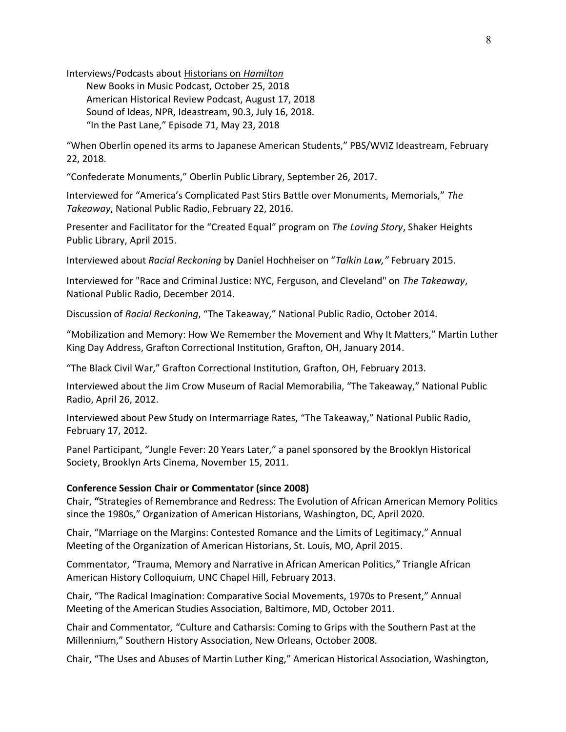Interviews/Podcasts about Historians on *Hamilton*

New Books in Music Podcast, October 25, 2018 American Historical Review Podcast, August 17, 2018 Sound of Ideas, NPR, Ideastream, 90.3, July 16, 2018. "In the Past Lane," Episode 71, May 23, 2018

"When Oberlin opened its arms to Japanese American Students," PBS/WVIZ Ideastream, February 22, 2018.

"Confederate Monuments," Oberlin Public Library, September 26, 2017.

Interviewed for "America's Complicated Past Stirs Battle over Monuments, Memorials," *The Takeaway*, National Public Radio, February 22, 2016.

Presenter and Facilitator for the "Created Equal" program on *The Loving Story*, Shaker Heights Public Library, April 2015.

Interviewed about *Racial Reckoning* by Daniel Hochheiser on "*Talkin Law,"* February 2015.

Interviewed for "Race and Criminal Justice: NYC, Ferguson, and Cleveland" on *The Takeaway*, National Public Radio, December 2014.

Discussion of *Racial Reckoning*, "The Takeaway," National Public Radio, October 2014.

"Mobilization and Memory: How We Remember the Movement and Why It Matters," Martin Luther King Day Address, Grafton Correctional Institution, Grafton, OH, January 2014.

"The Black Civil War," Grafton Correctional Institution, Grafton, OH, February 2013.

Interviewed about the Jim Crow Museum of Racial Memorabilia, "The Takeaway," National Public Radio, April 26, 2012.

Interviewed about Pew Study on Intermarriage Rates, "The Takeaway," National Public Radio, February 17, 2012.

Panel Participant, "Jungle Fever: 20 Years Later," a panel sponsored by the Brooklyn Historical Society, Brooklyn Arts Cinema, November 15, 2011.

## **Conference Session Chair or Commentator (since 2008)**

Chair, **"**Strategies of Remembrance and Redress: The Evolution of African American Memory Politics since the 1980s," Organization of American Historians, Washington, DC, April 2020.

Chair, "Marriage on the Margins: Contested Romance and the Limits of Legitimacy," Annual Meeting of the Organization of American Historians, St. Louis, MO, April 2015.

Commentator, "Trauma, Memory and Narrative in African American Politics," Triangle African American History Colloquium, UNC Chapel Hill, February 2013.

Chair, "The Radical Imagination: Comparative Social Movements, 1970s to Present," Annual Meeting of the American Studies Association, Baltimore, MD, October 2011.

Chair and Commentator*,* "Culture and Catharsis: Coming to Grips with the Southern Past at the Millennium," Southern History Association, New Orleans, October 2008.

Chair, "The Uses and Abuses of Martin Luther King," American Historical Association, Washington,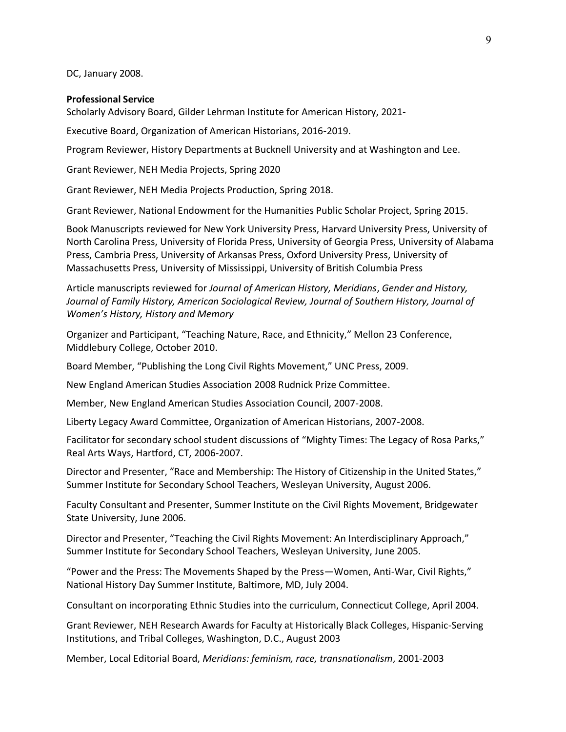DC, January 2008.

#### **Professional Service**

Scholarly Advisory Board, Gilder Lehrman Institute for American History, 2021-

Executive Board, Organization of American Historians, 2016-2019.

Program Reviewer, History Departments at Bucknell University and at Washington and Lee.

Grant Reviewer, NEH Media Projects, Spring 2020

Grant Reviewer, NEH Media Projects Production, Spring 2018.

Grant Reviewer, National Endowment for the Humanities Public Scholar Project, Spring 2015.

Book Manuscripts reviewed for New York University Press, Harvard University Press, University of North Carolina Press, University of Florida Press, University of Georgia Press, University of Alabama Press, Cambria Press, University of Arkansas Press, Oxford University Press, University of Massachusetts Press, University of Mississippi, University of British Columbia Press

Article manuscripts reviewed for *Journal of American History, Meridians*, *Gender and History, Journal of Family History, American Sociological Review, Journal of Southern History, Journal of Women's History, History and Memory*

Organizer and Participant, "Teaching Nature, Race, and Ethnicity," Mellon 23 Conference, Middlebury College, October 2010.

Board Member, "Publishing the Long Civil Rights Movement," UNC Press, 2009.

New England American Studies Association 2008 Rudnick Prize Committee.

Member, New England American Studies Association Council, 2007-2008.

Liberty Legacy Award Committee, Organization of American Historians, 2007-2008.

Facilitator for secondary school student discussions of "Mighty Times: The Legacy of Rosa Parks," Real Arts Ways, Hartford, CT, 2006-2007.

Director and Presenter, "Race and Membership: The History of Citizenship in the United States," Summer Institute for Secondary School Teachers, Wesleyan University, August 2006.

Faculty Consultant and Presenter, Summer Institute on the Civil Rights Movement, Bridgewater State University, June 2006.

Director and Presenter, "Teaching the Civil Rights Movement: An Interdisciplinary Approach," Summer Institute for Secondary School Teachers, Wesleyan University, June 2005.

"Power and the Press: The Movements Shaped by the Press—Women, Anti-War, Civil Rights," National History Day Summer Institute, Baltimore, MD, July 2004.

Consultant on incorporating Ethnic Studies into the curriculum, Connecticut College, April 2004.

Grant Reviewer, NEH Research Awards for Faculty at Historically Black Colleges, Hispanic-Serving Institutions, and Tribal Colleges, Washington, D.C., August 2003

Member, Local Editorial Board, *Meridians: feminism, race, transnationalism*, 2001-2003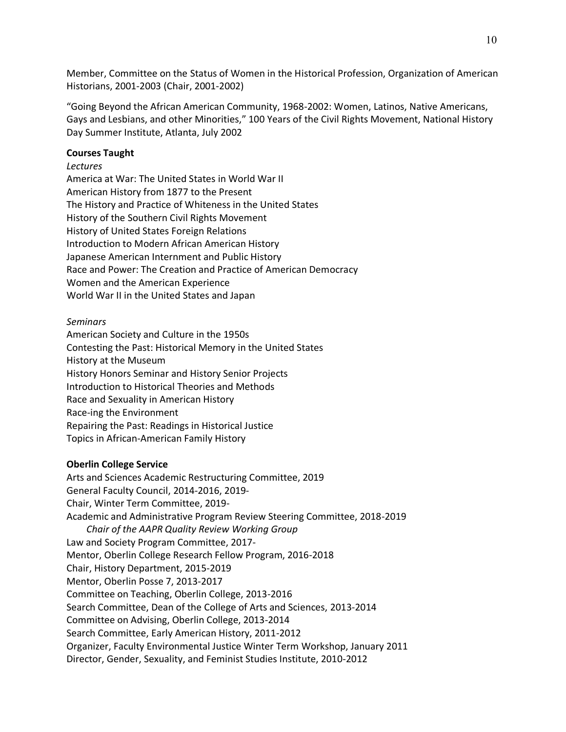Member, Committee on the Status of Women in the Historical Profession, Organization of American Historians, 2001-2003 (Chair, 2001-2002)

"Going Beyond the African American Community, 1968-2002: Women, Latinos, Native Americans, Gays and Lesbians, and other Minorities," 100 Years of the Civil Rights Movement, National History Day Summer Institute, Atlanta, July 2002

# **Courses Taught**

# *Lectures*

America at War: The United States in World War II American History from 1877 to the Present The History and Practice of Whiteness in the United States History of the Southern Civil Rights Movement History of United States Foreign Relations Introduction to Modern African American History Japanese American Internment and Public History Race and Power: The Creation and Practice of American Democracy Women and the American Experience World War II in the United States and Japan

# *Seminars*

American Society and Culture in the 1950s Contesting the Past: Historical Memory in the United States History at the Museum History Honors Seminar and History Senior Projects Introduction to Historical Theories and Methods Race and Sexuality in American History Race-ing the Environment Repairing the Past: Readings in Historical Justice Topics in African-American Family History

# **Oberlin College Service**

Arts and Sciences Academic Restructuring Committee, 2019 General Faculty Council, 2014-2016, 2019- Chair, Winter Term Committee, 2019- Academic and Administrative Program Review Steering Committee, 2018-2019 *Chair of the AAPR Quality Review Working Group* Law and Society Program Committee, 2017- Mentor, Oberlin College Research Fellow Program, 2016-2018 Chair, History Department, 2015-2019 Mentor, Oberlin Posse 7, 2013-2017 Committee on Teaching, Oberlin College, 2013-2016 Search Committee, Dean of the College of Arts and Sciences, 2013-2014 Committee on Advising, Oberlin College, 2013-2014 Search Committee, Early American History, 2011-2012 Organizer, Faculty Environmental Justice Winter Term Workshop, January 2011 Director, Gender, Sexuality, and Feminist Studies Institute, 2010-2012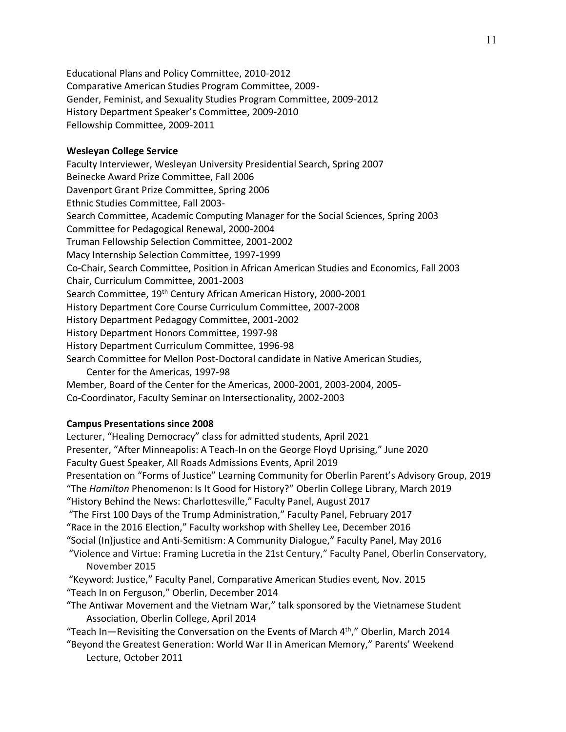Educational Plans and Policy Committee, 2010-2012 Comparative American Studies Program Committee, 2009- Gender, Feminist, and Sexuality Studies Program Committee, 2009-2012 History Department Speaker's Committee, 2009-2010 Fellowship Committee, 2009-2011

# **Wesleyan College Service**

Faculty Interviewer, Wesleyan University Presidential Search, Spring 2007 Beinecke Award Prize Committee, Fall 2006 Davenport Grant Prize Committee, Spring 2006 Ethnic Studies Committee, Fall 2003- Search Committee, Academic Computing Manager for the Social Sciences, Spring 2003 Committee for Pedagogical Renewal, 2000-2004 Truman Fellowship Selection Committee, 2001-2002 Macy Internship Selection Committee, 1997-1999 Co-Chair, Search Committee, Position in African American Studies and Economics, Fall 2003 Chair, Curriculum Committee, 2001-2003 Search Committee, 19<sup>th</sup> Century African American History, 2000-2001 History Department Core Course Curriculum Committee, 2007-2008 History Department Pedagogy Committee, 2001-2002 History Department Honors Committee, 1997-98 History Department Curriculum Committee, 1996-98 Search Committee for Mellon Post-Doctoral candidate in Native American Studies, Center for the Americas, 1997-98 Member, Board of the Center for the Americas, 2000-2001, 2003-2004, 2005-

# Co-Coordinator, Faculty Seminar on Intersectionality, 2002-2003

# **Campus Presentations since 2008**

Lecturer, "Healing Democracy" class for admitted students, April 2021 Presenter, "After Minneapolis: A Teach-In on the George Floyd Uprising," June 2020 Faculty Guest Speaker, All Roads Admissions Events, April 2019 Presentation on "Forms of Justice" Learning Community for Oberlin Parent's Advisory Group, 2019 "The *Hamilton* Phenomenon: Is It Good for History?" Oberlin College Library, March 2019 "History Behind the News: Charlottesville," Faculty Panel, August 2017 "The First 100 Days of the Trump Administration," Faculty Panel, February 2017 "Race in the 2016 Election," Faculty workshop with Shelley Lee, December 2016 "Social (In)justice and Anti-Semitism: A Community Dialogue," Faculty Panel, May 2016 "Violence and Virtue: Framing Lucretia in the 21st Century," Faculty Panel, Oberlin Conservatory, November 2015 "Keyword: Justice," Faculty Panel, Comparative American Studies event, Nov. 2015 "Teach In on Ferguson," Oberlin, December 2014 "The Antiwar Movement and the Vietnam War," talk sponsored by the Vietnamese Student Association, Oberlin College, April 2014 "Teach In—Revisiting the Conversation on the Events of March  $4<sup>th</sup>$ ," Oberlin, March 2014 "Beyond the Greatest Generation: World War II in American Memory," Parents' Weekend Lecture, October 2011